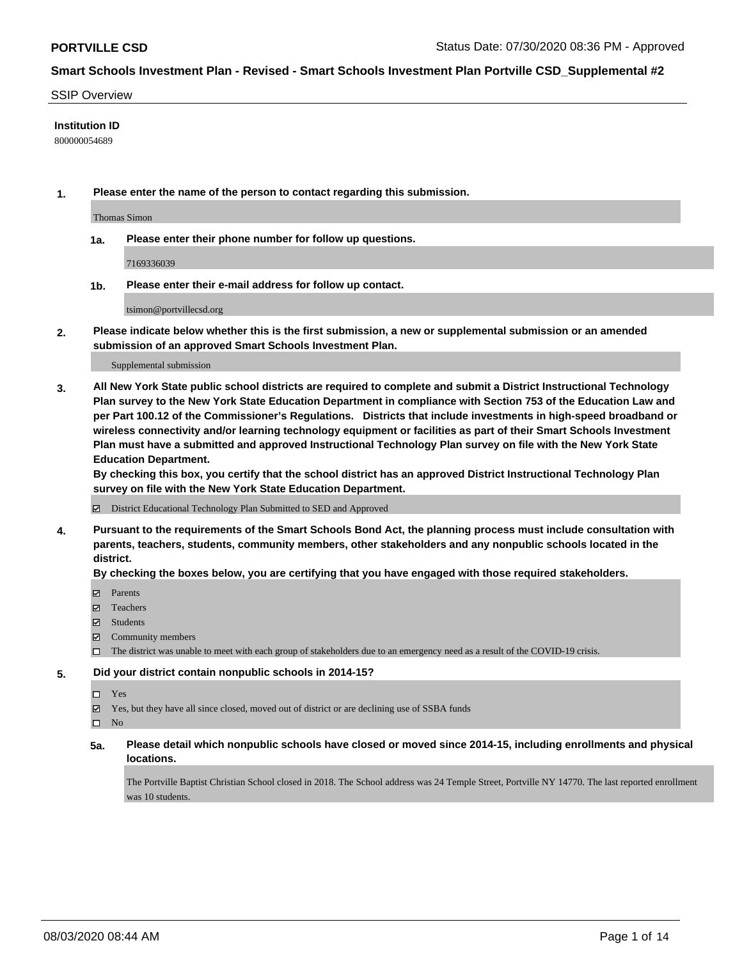#### SSIP Overview

#### **Institution ID**

800000054689

**1. Please enter the name of the person to contact regarding this submission.**

Thomas Simon

**1a. Please enter their phone number for follow up questions.**

7169336039

**1b. Please enter their e-mail address for follow up contact.**

tsimon@portvillecsd.org

**2. Please indicate below whether this is the first submission, a new or supplemental submission or an amended submission of an approved Smart Schools Investment Plan.**

#### Supplemental submission

**3. All New York State public school districts are required to complete and submit a District Instructional Technology Plan survey to the New York State Education Department in compliance with Section 753 of the Education Law and per Part 100.12 of the Commissioner's Regulations. Districts that include investments in high-speed broadband or wireless connectivity and/or learning technology equipment or facilities as part of their Smart Schools Investment Plan must have a submitted and approved Instructional Technology Plan survey on file with the New York State Education Department.** 

**By checking this box, you certify that the school district has an approved District Instructional Technology Plan survey on file with the New York State Education Department.**

District Educational Technology Plan Submitted to SED and Approved

**4. Pursuant to the requirements of the Smart Schools Bond Act, the planning process must include consultation with parents, teachers, students, community members, other stakeholders and any nonpublic schools located in the district.** 

#### **By checking the boxes below, you are certifying that you have engaged with those required stakeholders.**

- **Parents**
- Teachers
- Students
- $\boxtimes$  Community members
- The district was unable to meet with each group of stakeholders due to an emergency need as a result of the COVID-19 crisis.

#### **5. Did your district contain nonpublic schools in 2014-15?**

- Yes
- Yes, but they have all since closed, moved out of district or are declining use of SSBA funds

 $\square$  No

**5a. Please detail which nonpublic schools have closed or moved since 2014-15, including enrollments and physical locations.**

The Portville Baptist Christian School closed in 2018. The School address was 24 Temple Street, Portville NY 14770. The last reported enrollment was 10 students.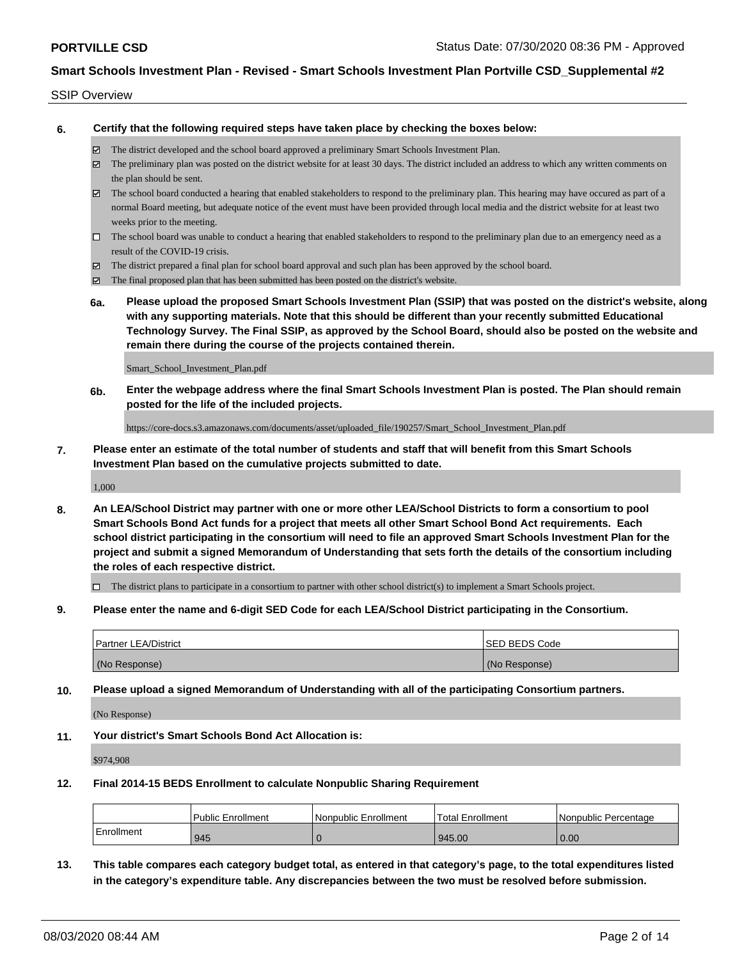#### SSIP Overview

**6. Certify that the following required steps have taken place by checking the boxes below:**

- The district developed and the school board approved a preliminary Smart Schools Investment Plan.
- $\boxtimes$  The preliminary plan was posted on the district website for at least 30 days. The district included an address to which any written comments on the plan should be sent.
- $\boxtimes$  The school board conducted a hearing that enabled stakeholders to respond to the preliminary plan. This hearing may have occured as part of a normal Board meeting, but adequate notice of the event must have been provided through local media and the district website for at least two weeks prior to the meeting.
- $\Box$  The school board was unable to conduct a hearing that enabled stakeholders to respond to the preliminary plan due to an emergency need as a result of the COVID-19 crisis.
- The district prepared a final plan for school board approval and such plan has been approved by the school board.
- $\boxtimes$  The final proposed plan that has been submitted has been posted on the district's website.
- **6a. Please upload the proposed Smart Schools Investment Plan (SSIP) that was posted on the district's website, along with any supporting materials. Note that this should be different than your recently submitted Educational Technology Survey. The Final SSIP, as approved by the School Board, should also be posted on the website and remain there during the course of the projects contained therein.**

Smart\_School\_Investment\_Plan.pdf

**6b. Enter the webpage address where the final Smart Schools Investment Plan is posted. The Plan should remain posted for the life of the included projects.**

https://core-docs.s3.amazonaws.com/documents/asset/uploaded\_file/190257/Smart\_School\_Investment\_Plan.pdf

**7. Please enter an estimate of the total number of students and staff that will benefit from this Smart Schools Investment Plan based on the cumulative projects submitted to date.**

1,000

**8. An LEA/School District may partner with one or more other LEA/School Districts to form a consortium to pool Smart Schools Bond Act funds for a project that meets all other Smart School Bond Act requirements. Each school district participating in the consortium will need to file an approved Smart Schools Investment Plan for the project and submit a signed Memorandum of Understanding that sets forth the details of the consortium including the roles of each respective district.**

 $\Box$  The district plans to participate in a consortium to partner with other school district(s) to implement a Smart Schools project.

**9. Please enter the name and 6-digit SED Code for each LEA/School District participating in the Consortium.**

| <b>Partner LEA/District</b> | <b>ISED BEDS Code</b> |
|-----------------------------|-----------------------|
| (No Response)               | (No Response)         |

**10. Please upload a signed Memorandum of Understanding with all of the participating Consortium partners.**

(No Response)

**11. Your district's Smart Schools Bond Act Allocation is:**

\$974,908

#### **12. Final 2014-15 BEDS Enrollment to calculate Nonpublic Sharing Requirement**

|                   | <b>Public Enrollment</b> | Nonpublic Enrollment | Total Enrollment | l Nonpublic Percentage |
|-------------------|--------------------------|----------------------|------------------|------------------------|
| <b>Enrollment</b> | 945                      |                      | 945.00           | 0.00                   |

**13. This table compares each category budget total, as entered in that category's page, to the total expenditures listed in the category's expenditure table. Any discrepancies between the two must be resolved before submission.**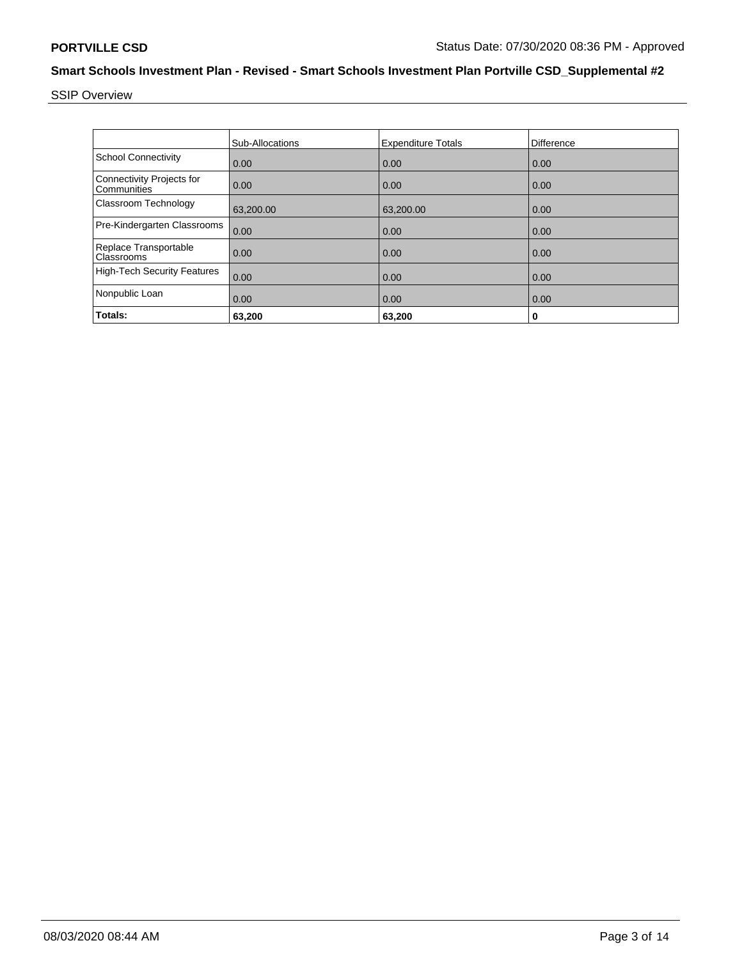SSIP Overview

|                                          | Sub-Allocations | <b>Expenditure Totals</b> | Difference |
|------------------------------------------|-----------------|---------------------------|------------|
| <b>School Connectivity</b>               | 0.00            | 0.00                      | 0.00       |
| Connectivity Projects for<br>Communities | 0.00            | 0.00                      | 0.00       |
| Classroom Technology                     | 63,200.00       | 63,200.00                 | 0.00       |
| Pre-Kindergarten Classrooms              | 0.00            | 0.00                      | 0.00       |
| Replace Transportable<br>Classrooms      | 0.00            | 0.00                      | 0.00       |
| <b>High-Tech Security Features</b>       | 0.00            | 0.00                      | 0.00       |
| Nonpublic Loan                           | 0.00            | 0.00                      | 0.00       |
| Totals:                                  | 63,200          | 63,200                    | 0          |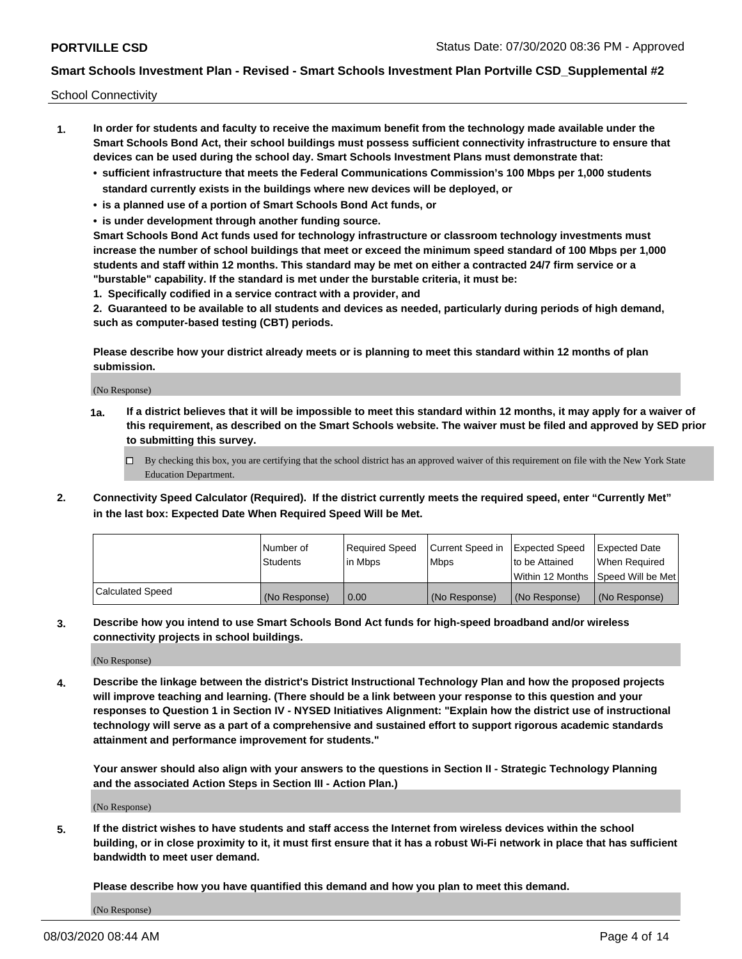School Connectivity

- **1. In order for students and faculty to receive the maximum benefit from the technology made available under the Smart Schools Bond Act, their school buildings must possess sufficient connectivity infrastructure to ensure that devices can be used during the school day. Smart Schools Investment Plans must demonstrate that:**
	- **• sufficient infrastructure that meets the Federal Communications Commission's 100 Mbps per 1,000 students standard currently exists in the buildings where new devices will be deployed, or**
	- **• is a planned use of a portion of Smart Schools Bond Act funds, or**
	- **• is under development through another funding source.**

**Smart Schools Bond Act funds used for technology infrastructure or classroom technology investments must increase the number of school buildings that meet or exceed the minimum speed standard of 100 Mbps per 1,000 students and staff within 12 months. This standard may be met on either a contracted 24/7 firm service or a "burstable" capability. If the standard is met under the burstable criteria, it must be:**

**1. Specifically codified in a service contract with a provider, and**

**2. Guaranteed to be available to all students and devices as needed, particularly during periods of high demand, such as computer-based testing (CBT) periods.**

**Please describe how your district already meets or is planning to meet this standard within 12 months of plan submission.**

(No Response)

**1a. If a district believes that it will be impossible to meet this standard within 12 months, it may apply for a waiver of this requirement, as described on the Smart Schools website. The waiver must be filed and approved by SED prior to submitting this survey.**

 $\Box$  By checking this box, you are certifying that the school district has an approved waiver of this requirement on file with the New York State Education Department.

**2. Connectivity Speed Calculator (Required). If the district currently meets the required speed, enter "Currently Met" in the last box: Expected Date When Required Speed Will be Met.**

|                  | l Number of     | Required Speed | Current Speed in | Expected Speed  | <b>Expected Date</b>                    |
|------------------|-----------------|----------------|------------------|-----------------|-----------------------------------------|
|                  | <b>Students</b> | In Mbps        | l Mbps           | Ito be Attained | When Required                           |
|                  |                 |                |                  |                 | l Within 12 Months ISpeed Will be Met l |
| Calculated Speed | (No Response)   | 0.00           | (No Response)    | (No Response)   | (No Response)                           |

**3. Describe how you intend to use Smart Schools Bond Act funds for high-speed broadband and/or wireless connectivity projects in school buildings.**

(No Response)

**4. Describe the linkage between the district's District Instructional Technology Plan and how the proposed projects will improve teaching and learning. (There should be a link between your response to this question and your responses to Question 1 in Section IV - NYSED Initiatives Alignment: "Explain how the district use of instructional technology will serve as a part of a comprehensive and sustained effort to support rigorous academic standards attainment and performance improvement for students."** 

**Your answer should also align with your answers to the questions in Section II - Strategic Technology Planning and the associated Action Steps in Section III - Action Plan.)**

(No Response)

**5. If the district wishes to have students and staff access the Internet from wireless devices within the school building, or in close proximity to it, it must first ensure that it has a robust Wi-Fi network in place that has sufficient bandwidth to meet user demand.**

**Please describe how you have quantified this demand and how you plan to meet this demand.**

(No Response)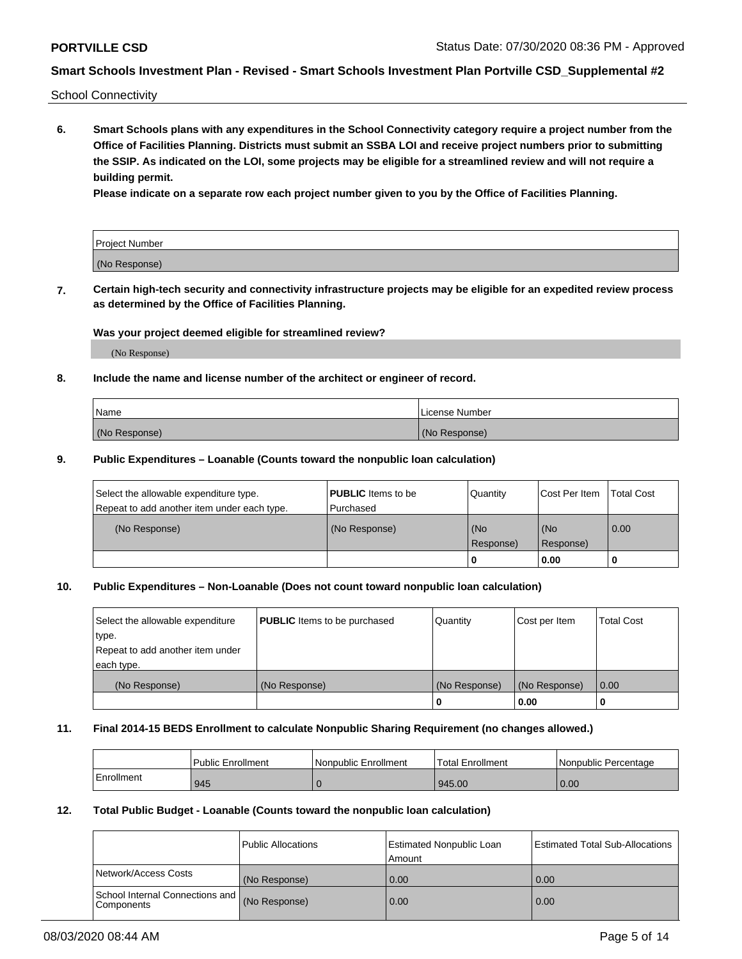School Connectivity

**6. Smart Schools plans with any expenditures in the School Connectivity category require a project number from the Office of Facilities Planning. Districts must submit an SSBA LOI and receive project numbers prior to submitting the SSIP. As indicated on the LOI, some projects may be eligible for a streamlined review and will not require a building permit.**

**Please indicate on a separate row each project number given to you by the Office of Facilities Planning.**

| Project Number |  |
|----------------|--|
| (No Response)  |  |

**7. Certain high-tech security and connectivity infrastructure projects may be eligible for an expedited review process as determined by the Office of Facilities Planning.**

#### **Was your project deemed eligible for streamlined review?**

(No Response)

### **8. Include the name and license number of the architect or engineer of record.**

| Name          | License Number |
|---------------|----------------|
| (No Response) | (No Response)  |

#### **9. Public Expenditures – Loanable (Counts toward the nonpublic loan calculation)**

| Select the allowable expenditure type.<br>Repeat to add another item under each type. | <b>PUBLIC</b> Items to be<br>l Purchased | Quantity           | Cost Per Item    | <b>Total Cost</b> |
|---------------------------------------------------------------------------------------|------------------------------------------|--------------------|------------------|-------------------|
| (No Response)                                                                         | (No Response)                            | l (No<br>Response) | (No<br>Response) | $\overline{0.00}$ |
|                                                                                       |                                          | O                  | 0.00             |                   |

### **10. Public Expenditures – Non-Loanable (Does not count toward nonpublic loan calculation)**

| Select the allowable expenditure<br>type.<br>Repeat to add another item under<br>each type. | <b>PUBLIC</b> Items to be purchased | Quantity      | Cost per Item | <b>Total Cost</b> |
|---------------------------------------------------------------------------------------------|-------------------------------------|---------------|---------------|-------------------|
| (No Response)                                                                               | (No Response)                       | (No Response) | (No Response) | 0.00              |
|                                                                                             |                                     |               | 0.00          |                   |

#### **11. Final 2014-15 BEDS Enrollment to calculate Nonpublic Sharing Requirement (no changes allowed.)**

|            | Public Enrollment | Nonpublic Enrollment | <b>Total Enrollment</b> | l Nonpublic Percentage |
|------------|-------------------|----------------------|-------------------------|------------------------|
| Enrollment | 945               |                      | 945.00                  | 0.00                   |

### **12. Total Public Budget - Loanable (Counts toward the nonpublic loan calculation)**

|                                                      | Public Allocations | <b>Estimated Nonpublic Loan</b><br>Amount | Estimated Total Sub-Allocations |
|------------------------------------------------------|--------------------|-------------------------------------------|---------------------------------|
| Network/Access Costs                                 | (No Response)      | 0.00                                      | 0.00                            |
| School Internal Connections and<br><b>Components</b> | (No Response)      | 0.00                                      | 0.00                            |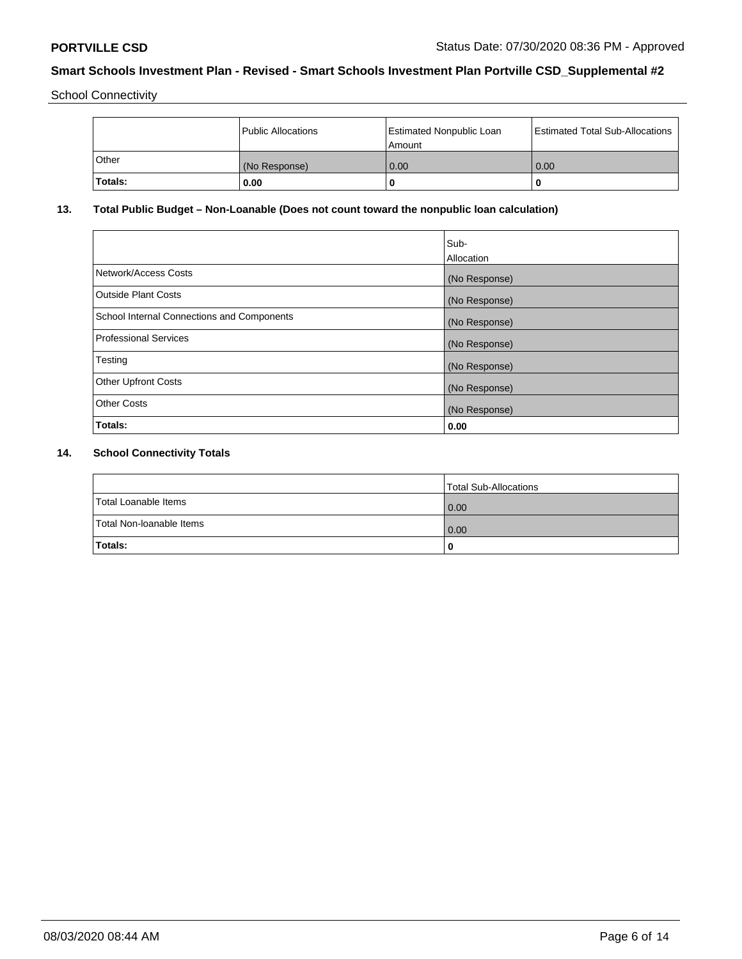School Connectivity

|         | Public Allocations | <b>Estimated Nonpublic Loan</b><br>l Amount | <b>Estimated Total Sub-Allocations</b> |
|---------|--------------------|---------------------------------------------|----------------------------------------|
| l Other | (No Response)      | 0.00                                        | 0.00                                   |
| Totals: | 0.00               | 0                                           |                                        |

# **13. Total Public Budget – Non-Loanable (Does not count toward the nonpublic loan calculation)**

|                                                   | Sub-<br>Allocation |
|---------------------------------------------------|--------------------|
|                                                   |                    |
| Network/Access Costs                              | (No Response)      |
| <b>Outside Plant Costs</b>                        | (No Response)      |
| <b>School Internal Connections and Components</b> | (No Response)      |
| Professional Services                             | (No Response)      |
| Testing                                           | (No Response)      |
| <b>Other Upfront Costs</b>                        | (No Response)      |
| <b>Other Costs</b>                                | (No Response)      |
| <b>Totals:</b>                                    | 0.00               |

# **14. School Connectivity Totals**

|                          | Total Sub-Allocations |
|--------------------------|-----------------------|
| Total Loanable Items     | 0.00                  |
| Total Non-Ioanable Items | 0.00                  |
| Totals:                  | 0                     |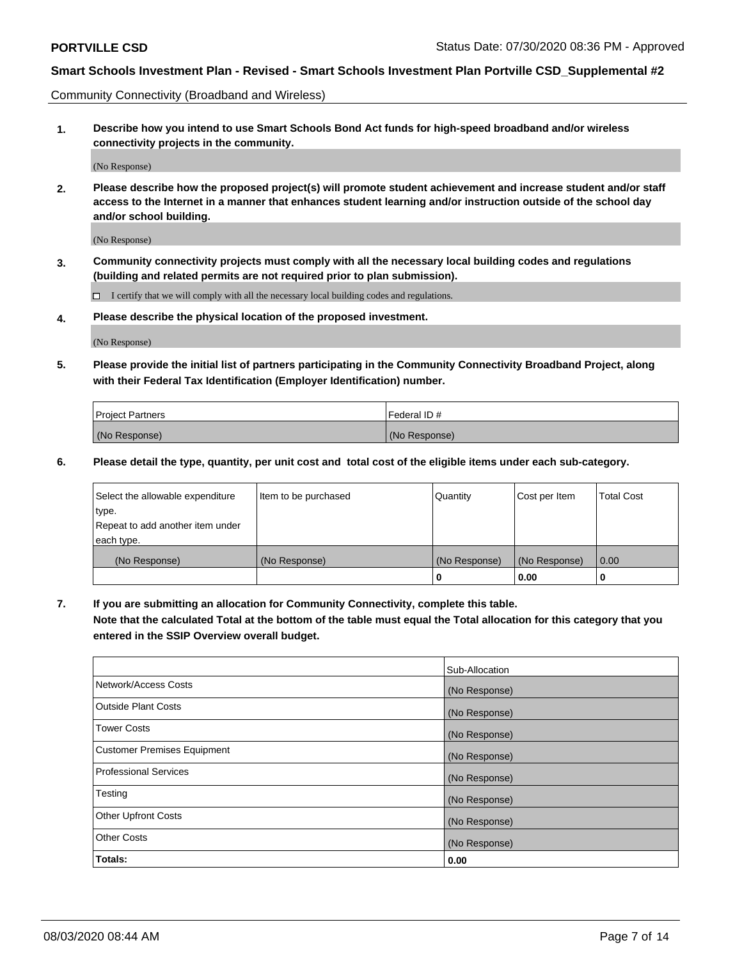Community Connectivity (Broadband and Wireless)

**1. Describe how you intend to use Smart Schools Bond Act funds for high-speed broadband and/or wireless connectivity projects in the community.**

(No Response)

**2. Please describe how the proposed project(s) will promote student achievement and increase student and/or staff access to the Internet in a manner that enhances student learning and/or instruction outside of the school day and/or school building.**

(No Response)

**3. Community connectivity projects must comply with all the necessary local building codes and regulations (building and related permits are not required prior to plan submission).**

 $\Box$  I certify that we will comply with all the necessary local building codes and regulations.

**4. Please describe the physical location of the proposed investment.**

(No Response)

**5. Please provide the initial list of partners participating in the Community Connectivity Broadband Project, along with their Federal Tax Identification (Employer Identification) number.**

| <b>Project Partners</b> | l Federal ID # |
|-------------------------|----------------|
| (No Response)           | (No Response)  |

**6. Please detail the type, quantity, per unit cost and total cost of the eligible items under each sub-category.**

| Select the allowable expenditure | Item to be purchased | Quantity      | Cost per Item | <b>Total Cost</b> |
|----------------------------------|----------------------|---------------|---------------|-------------------|
| type.                            |                      |               |               |                   |
| Repeat to add another item under |                      |               |               |                   |
| each type.                       |                      |               |               |                   |
| (No Response)                    | (No Response)        | (No Response) | (No Response) | 0.00              |
|                                  |                      | U             | 0.00          |                   |

**7. If you are submitting an allocation for Community Connectivity, complete this table.**

**Note that the calculated Total at the bottom of the table must equal the Total allocation for this category that you entered in the SSIP Overview overall budget.**

|                                    | Sub-Allocation |
|------------------------------------|----------------|
| Network/Access Costs               | (No Response)  |
| Outside Plant Costs                | (No Response)  |
| <b>Tower Costs</b>                 | (No Response)  |
| <b>Customer Premises Equipment</b> | (No Response)  |
| <b>Professional Services</b>       | (No Response)  |
| Testing                            | (No Response)  |
| <b>Other Upfront Costs</b>         | (No Response)  |
| <b>Other Costs</b>                 | (No Response)  |
| Totals:                            | 0.00           |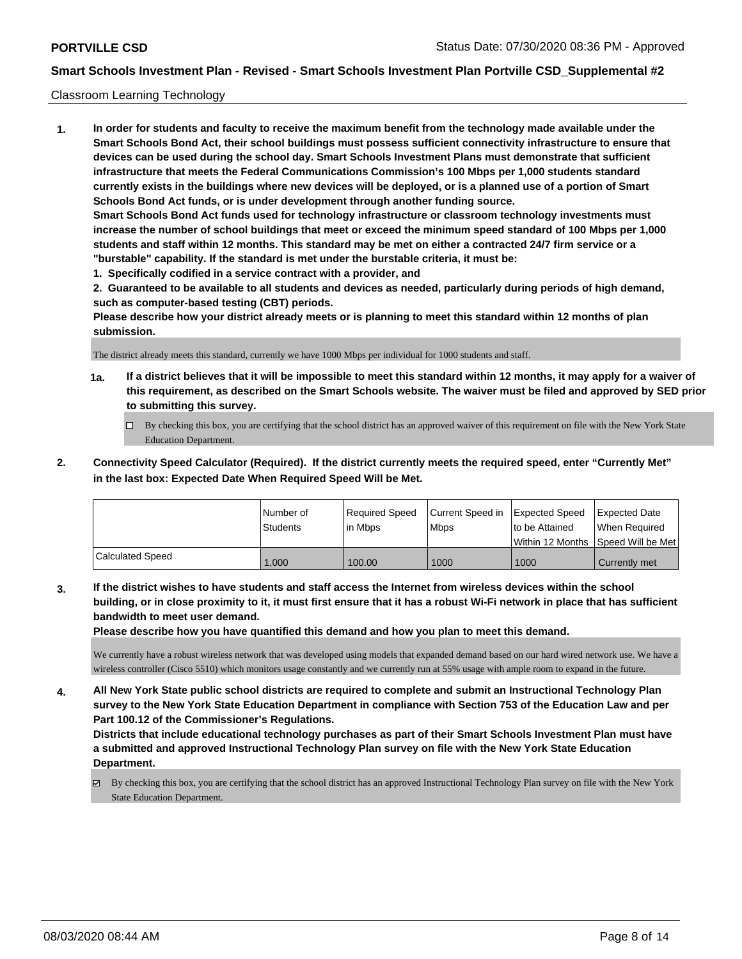#### Classroom Learning Technology

**1. In order for students and faculty to receive the maximum benefit from the technology made available under the Smart Schools Bond Act, their school buildings must possess sufficient connectivity infrastructure to ensure that devices can be used during the school day. Smart Schools Investment Plans must demonstrate that sufficient infrastructure that meets the Federal Communications Commission's 100 Mbps per 1,000 students standard currently exists in the buildings where new devices will be deployed, or is a planned use of a portion of Smart Schools Bond Act funds, or is under development through another funding source. Smart Schools Bond Act funds used for technology infrastructure or classroom technology investments must increase the number of school buildings that meet or exceed the minimum speed standard of 100 Mbps per 1,000 students and staff within 12 months. This standard may be met on either a contracted 24/7 firm service or a "burstable" capability. If the standard is met under the burstable criteria, it must be:**

**1. Specifically codified in a service contract with a provider, and**

**2. Guaranteed to be available to all students and devices as needed, particularly during periods of high demand, such as computer-based testing (CBT) periods.**

**Please describe how your district already meets or is planning to meet this standard within 12 months of plan submission.**

The district already meets this standard, currently we have 1000 Mbps per individual for 1000 students and staff.

- **1a. If a district believes that it will be impossible to meet this standard within 12 months, it may apply for a waiver of this requirement, as described on the Smart Schools website. The waiver must be filed and approved by SED prior to submitting this survey.**
	- By checking this box, you are certifying that the school district has an approved waiver of this requirement on file with the New York State Education Department.
- **2. Connectivity Speed Calculator (Required). If the district currently meets the required speed, enter "Currently Met" in the last box: Expected Date When Required Speed Will be Met.**

|                  | l Number of     | Required Speed | Current Speed in | <b>Expected Speed</b> | <b>Expected Date</b>                    |
|------------------|-----------------|----------------|------------------|-----------------------|-----------------------------------------|
|                  | <b>Students</b> | l in Mbps      | l Mbps           | to be Attained        | When Required                           |
|                  |                 |                |                  |                       | l Within 12 Months ISpeed Will be Met l |
| Calculated Speed | 000.1           | 100.00         | 1000             | 1000                  | Currently met                           |

**3. If the district wishes to have students and staff access the Internet from wireless devices within the school building, or in close proximity to it, it must first ensure that it has a robust Wi-Fi network in place that has sufficient bandwidth to meet user demand.**

**Please describe how you have quantified this demand and how you plan to meet this demand.**

We currently have a robust wireless network that was developed using models that expanded demand based on our hard wired network use. We have a wireless controller (Cisco 5510) which monitors usage constantly and we currently run at 55% usage with ample room to expand in the future.

**4. All New York State public school districts are required to complete and submit an Instructional Technology Plan survey to the New York State Education Department in compliance with Section 753 of the Education Law and per Part 100.12 of the Commissioner's Regulations.**

**Districts that include educational technology purchases as part of their Smart Schools Investment Plan must have a submitted and approved Instructional Technology Plan survey on file with the New York State Education Department.**

 $\boxtimes$  By checking this box, you are certifying that the school district has an approved Instructional Technology Plan survey on file with the New York State Education Department.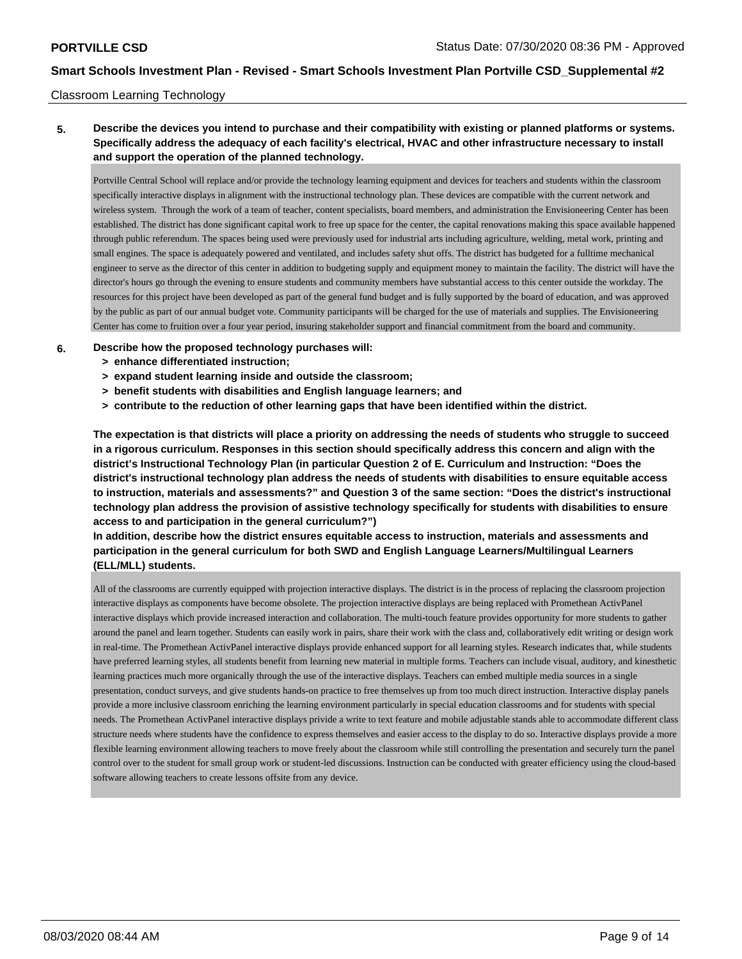#### Classroom Learning Technology

# **5. Describe the devices you intend to purchase and their compatibility with existing or planned platforms or systems. Specifically address the adequacy of each facility's electrical, HVAC and other infrastructure necessary to install and support the operation of the planned technology.**

Portville Central School will replace and/or provide the technology learning equipment and devices for teachers and students within the classroom specifically interactive displays in alignment with the instructional technology plan. These devices are compatible with the current network and wireless system. Through the work of a team of teacher, content specialists, board members, and administration the Envisioneering Center has been established. The district has done significant capital work to free up space for the center, the capital renovations making this space available happened through public referendum. The spaces being used were previously used for industrial arts including agriculture, welding, metal work, printing and small engines. The space is adequately powered and ventilated, and includes safety shut offs. The district has budgeted for a fulltime mechanical engineer to serve as the director of this center in addition to budgeting supply and equipment money to maintain the facility. The district will have the director's hours go through the evening to ensure students and community members have substantial access to this center outside the workday. The resources for this project have been developed as part of the general fund budget and is fully supported by the board of education, and was approved by the public as part of our annual budget vote. Community participants will be charged for the use of materials and supplies. The Envisioneering Center has come to fruition over a four year period, insuring stakeholder support and financial commitment from the board and community.

#### **6. Describe how the proposed technology purchases will:**

- **> enhance differentiated instruction;**
- **> expand student learning inside and outside the classroom;**
- **> benefit students with disabilities and English language learners; and**
- **> contribute to the reduction of other learning gaps that have been identified within the district.**

**The expectation is that districts will place a priority on addressing the needs of students who struggle to succeed in a rigorous curriculum. Responses in this section should specifically address this concern and align with the district's Instructional Technology Plan (in particular Question 2 of E. Curriculum and Instruction: "Does the district's instructional technology plan address the needs of students with disabilities to ensure equitable access to instruction, materials and assessments?" and Question 3 of the same section: "Does the district's instructional technology plan address the provision of assistive technology specifically for students with disabilities to ensure access to and participation in the general curriculum?")**

**In addition, describe how the district ensures equitable access to instruction, materials and assessments and participation in the general curriculum for both SWD and English Language Learners/Multilingual Learners (ELL/MLL) students.**

All of the classrooms are currently equipped with projection interactive displays. The district is in the process of replacing the classroom projection interactive displays as components have become obsolete. The projection interactive displays are being replaced with Promethean ActivPanel interactive displays which provide increased interaction and collaboration. The multi-touch feature provides opportunity for more students to gather around the panel and learn together. Students can easily work in pairs, share their work with the class and, collaboratively edit writing or design work in real-time. The Promethean ActivPanel interactive displays provide enhanced support for all learning styles. Research indicates that, while students have preferred learning styles, all students benefit from learning new material in multiple forms. Teachers can include visual, auditory, and kinesthetic learning practices much more organically through the use of the interactive displays. Teachers can embed multiple media sources in a single presentation, conduct surveys, and give students hands-on practice to free themselves up from too much direct instruction. Interactive display panels provide a more inclusive classroom enriching the learning environment particularly in special education classrooms and for students with special needs. The Promethean ActivPanel interactive displays privide a write to text feature and mobile adjustable stands able to accommodate different class structure needs where students have the confidence to express themselves and easier access to the display to do so. Interactive displays provide a more flexible learning environment allowing teachers to move freely about the classroom while still controlling the presentation and securely turn the panel control over to the student for small group work or student-led discussions. Instruction can be conducted with greater efficiency using the cloud-based software allowing teachers to create lessons offsite from any device.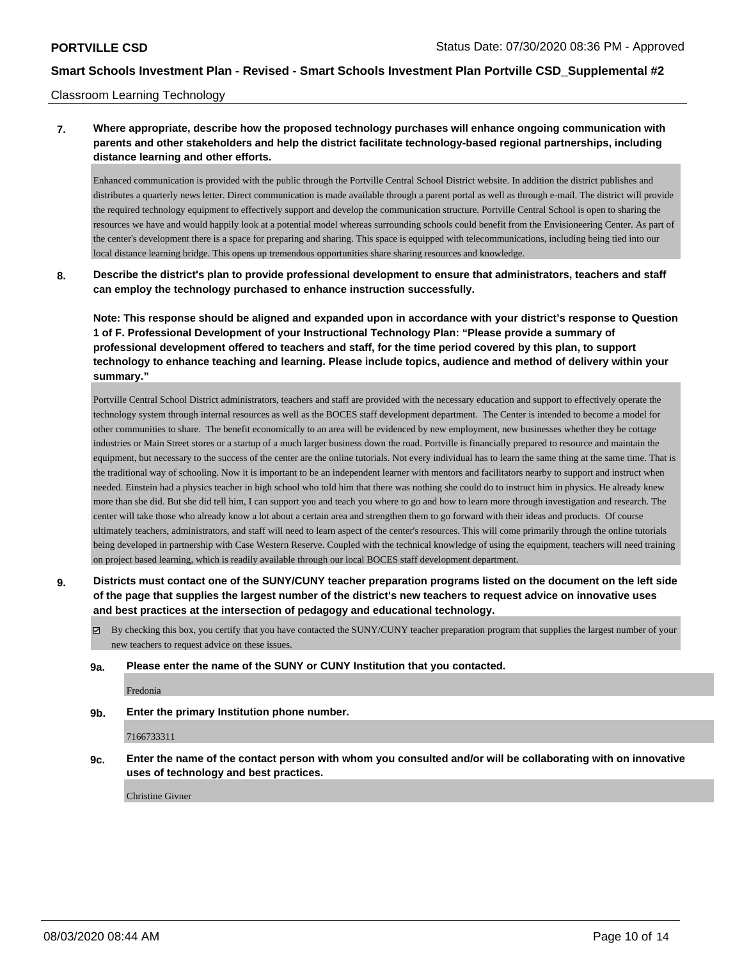#### Classroom Learning Technology

# **7. Where appropriate, describe how the proposed technology purchases will enhance ongoing communication with parents and other stakeholders and help the district facilitate technology-based regional partnerships, including distance learning and other efforts.**

Enhanced communication is provided with the public through the Portville Central School District website. In addition the district publishes and distributes a quarterly news letter. Direct communication is made available through a parent portal as well as through e-mail. The district will provide the required technology equipment to effectively support and develop the communication structure. Portville Central School is open to sharing the resources we have and would happily look at a potential model whereas surrounding schools could benefit from the Envisioneering Center. As part of the center's development there is a space for preparing and sharing. This space is equipped with telecommunications, including being tied into our local distance learning bridge. This opens up tremendous opportunities share sharing resources and knowledge.

**8. Describe the district's plan to provide professional development to ensure that administrators, teachers and staff can employ the technology purchased to enhance instruction successfully.**

**Note: This response should be aligned and expanded upon in accordance with your district's response to Question 1 of F. Professional Development of your Instructional Technology Plan: "Please provide a summary of professional development offered to teachers and staff, for the time period covered by this plan, to support technology to enhance teaching and learning. Please include topics, audience and method of delivery within your summary."**

Portville Central School District administrators, teachers and staff are provided with the necessary education and support to effectively operate the technology system through internal resources as well as the BOCES staff development department. The Center is intended to become a model for other communities to share. The benefit economically to an area will be evidenced by new employment, new businesses whether they be cottage industries or Main Street stores or a startup of a much larger business down the road. Portville is financially prepared to resource and maintain the equipment, but necessary to the success of the center are the online tutorials. Not every individual has to learn the same thing at the same time. That is the traditional way of schooling. Now it is important to be an independent learner with mentors and facilitators nearby to support and instruct when needed. Einstein had a physics teacher in high school who told him that there was nothing she could do to instruct him in physics. He already knew more than she did. But she did tell him, I can support you and teach you where to go and how to learn more through investigation and research. The center will take those who already know a lot about a certain area and strengthen them to go forward with their ideas and products. Of course ultimately teachers, administrators, and staff will need to learn aspect of the center's resources. This will come primarily through the online tutorials being developed in partnership with Case Western Reserve. Coupled with the technical knowledge of using the equipment, teachers will need training on project based learning, which is readily available through our local BOCES staff development department.

**9. Districts must contact one of the SUNY/CUNY teacher preparation programs listed on the document on the left side of the page that supplies the largest number of the district's new teachers to request advice on innovative uses and best practices at the intersection of pedagogy and educational technology.**

 $\boxtimes$  By checking this box, you certify that you have contacted the SUNY/CUNY teacher preparation program that supplies the largest number of your new teachers to request advice on these issues.

**9a. Please enter the name of the SUNY or CUNY Institution that you contacted.**

Fredonia

**9b. Enter the primary Institution phone number.**

7166733311

**9c. Enter the name of the contact person with whom you consulted and/or will be collaborating with on innovative uses of technology and best practices.**

Christine Givner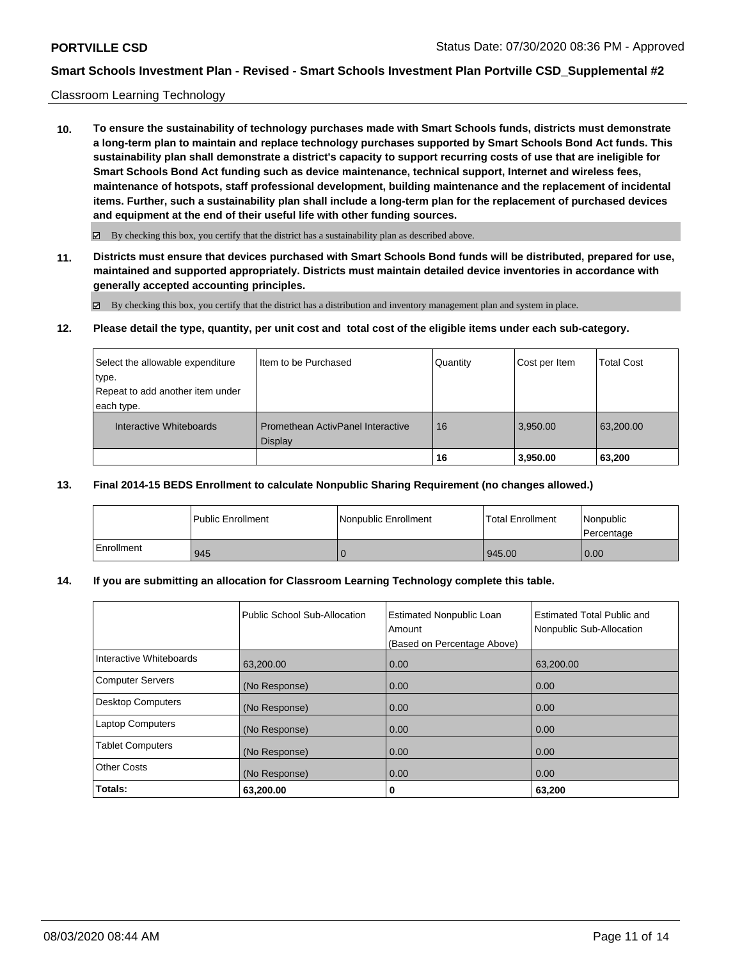#### Classroom Learning Technology

**10. To ensure the sustainability of technology purchases made with Smart Schools funds, districts must demonstrate a long-term plan to maintain and replace technology purchases supported by Smart Schools Bond Act funds. This sustainability plan shall demonstrate a district's capacity to support recurring costs of use that are ineligible for Smart Schools Bond Act funding such as device maintenance, technical support, Internet and wireless fees, maintenance of hotspots, staff professional development, building maintenance and the replacement of incidental items. Further, such a sustainability plan shall include a long-term plan for the replacement of purchased devices and equipment at the end of their useful life with other funding sources.**

 $\boxtimes$  By checking this box, you certify that the district has a sustainability plan as described above.

**11. Districts must ensure that devices purchased with Smart Schools Bond funds will be distributed, prepared for use, maintained and supported appropriately. Districts must maintain detailed device inventories in accordance with generally accepted accounting principles.**

By checking this box, you certify that the district has a distribution and inventory management plan and system in place.

**12. Please detail the type, quantity, per unit cost and total cost of the eligible items under each sub-category.**

| Select the allowable expenditure | Item to be Purchased                                | Quantity | Cost per Item | Total Cost |
|----------------------------------|-----------------------------------------------------|----------|---------------|------------|
| ∣type.                           |                                                     |          |               |            |
| Repeat to add another item under |                                                     |          |               |            |
| each type.                       |                                                     |          |               |            |
| Interactive Whiteboards          | Promethean ActivPanel Interactive<br><b>Display</b> | 16       | 3.950.00      | 63,200.00  |
|                                  |                                                     | 16       | 3,950.00      | 63,200     |

### **13. Final 2014-15 BEDS Enrollment to calculate Nonpublic Sharing Requirement (no changes allowed.)**

|            | l Public Enrollment | Nonpublic Enrollment | <b>Total Enrollment</b> | Nonpublic<br>Percentage |
|------------|---------------------|----------------------|-------------------------|-------------------------|
| Enrollment | 945                 |                      | 1945.00                 | 0.00                    |

# **14. If you are submitting an allocation for Classroom Learning Technology complete this table.**

|                          | Public School Sub-Allocation | <b>Estimated Nonpublic Loan</b><br>Amount<br>(Based on Percentage Above) | Estimated Total Public and<br>Nonpublic Sub-Allocation |
|--------------------------|------------------------------|--------------------------------------------------------------------------|--------------------------------------------------------|
| Interactive Whiteboards  | 63,200.00                    | 0.00                                                                     | 63,200.00                                              |
| <b>Computer Servers</b>  | (No Response)                | 0.00                                                                     | 0.00                                                   |
| <b>Desktop Computers</b> | (No Response)                | 0.00                                                                     | 0.00                                                   |
| <b>Laptop Computers</b>  | (No Response)                | 0.00                                                                     | 0.00                                                   |
| <b>Tablet Computers</b>  | (No Response)                | 0.00                                                                     | 0.00                                                   |
| <b>Other Costs</b>       | (No Response)                | 0.00                                                                     | 0.00                                                   |
| Totals:                  | 63,200.00                    | 0                                                                        | 63,200                                                 |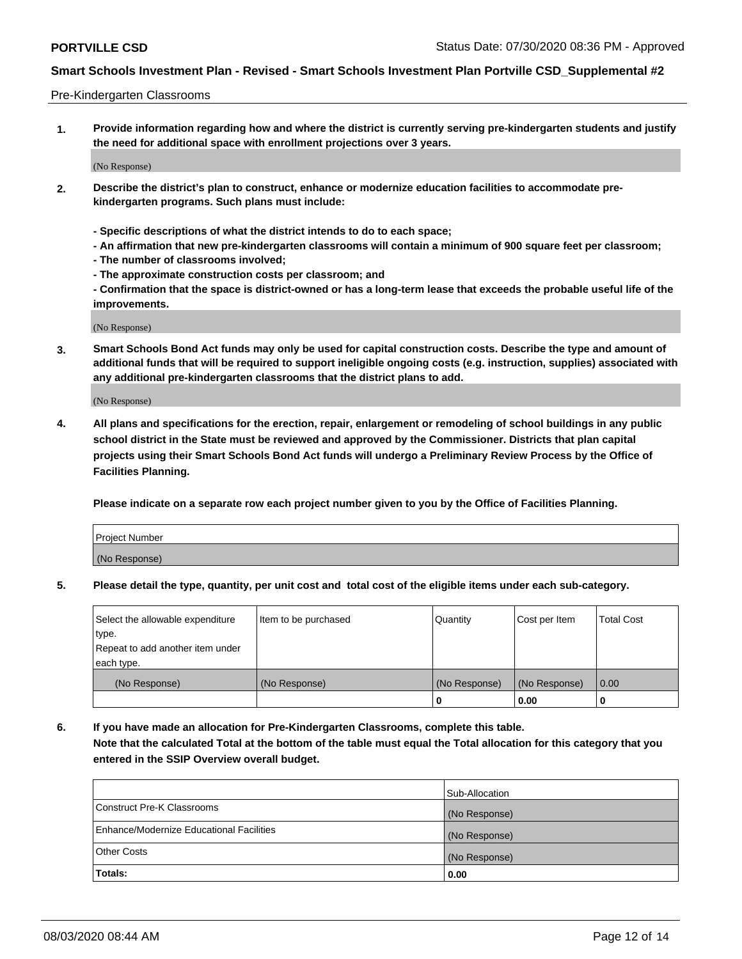#### Pre-Kindergarten Classrooms

**1. Provide information regarding how and where the district is currently serving pre-kindergarten students and justify the need for additional space with enrollment projections over 3 years.**

(No Response)

- **2. Describe the district's plan to construct, enhance or modernize education facilities to accommodate prekindergarten programs. Such plans must include:**
	- **Specific descriptions of what the district intends to do to each space;**
	- **An affirmation that new pre-kindergarten classrooms will contain a minimum of 900 square feet per classroom;**
	- **The number of classrooms involved;**
	- **The approximate construction costs per classroom; and**
	- **Confirmation that the space is district-owned or has a long-term lease that exceeds the probable useful life of the improvements.**

(No Response)

**3. Smart Schools Bond Act funds may only be used for capital construction costs. Describe the type and amount of additional funds that will be required to support ineligible ongoing costs (e.g. instruction, supplies) associated with any additional pre-kindergarten classrooms that the district plans to add.**

(No Response)

**4. All plans and specifications for the erection, repair, enlargement or remodeling of school buildings in any public school district in the State must be reviewed and approved by the Commissioner. Districts that plan capital projects using their Smart Schools Bond Act funds will undergo a Preliminary Review Process by the Office of Facilities Planning.**

**Please indicate on a separate row each project number given to you by the Office of Facilities Planning.**

| Project Number |  |
|----------------|--|
| (No Response)  |  |
|                |  |

**5. Please detail the type, quantity, per unit cost and total cost of the eligible items under each sub-category.**

| Select the allowable expenditure | Item to be purchased | Quantity      | Cost per Item | <b>Total Cost</b> |
|----------------------------------|----------------------|---------------|---------------|-------------------|
| type.                            |                      |               |               |                   |
| Repeat to add another item under |                      |               |               |                   |
| each type.                       |                      |               |               |                   |
| (No Response)                    | (No Response)        | (No Response) | (No Response) | 0.00              |
|                                  |                      | υ             | 0.00          |                   |

**6. If you have made an allocation for Pre-Kindergarten Classrooms, complete this table. Note that the calculated Total at the bottom of the table must equal the Total allocation for this category that you entered in the SSIP Overview overall budget.**

|                                          | Sub-Allocation |
|------------------------------------------|----------------|
| Construct Pre-K Classrooms               | (No Response)  |
| Enhance/Modernize Educational Facilities | (No Response)  |
| <b>Other Costs</b>                       | (No Response)  |
| Totals:                                  | 0.00           |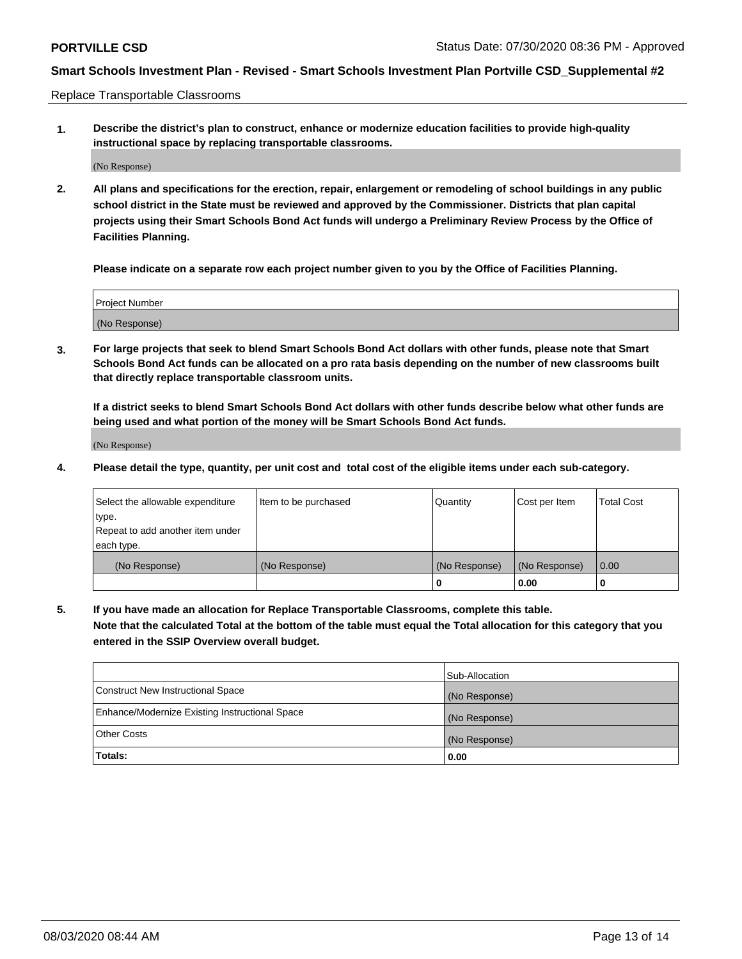Replace Transportable Classrooms

**1. Describe the district's plan to construct, enhance or modernize education facilities to provide high-quality instructional space by replacing transportable classrooms.**

(No Response)

**2. All plans and specifications for the erection, repair, enlargement or remodeling of school buildings in any public school district in the State must be reviewed and approved by the Commissioner. Districts that plan capital projects using their Smart Schools Bond Act funds will undergo a Preliminary Review Process by the Office of Facilities Planning.**

**Please indicate on a separate row each project number given to you by the Office of Facilities Planning.**

| Project Number |  |
|----------------|--|
|                |  |
|                |  |
|                |  |
| (No Response)  |  |
|                |  |
|                |  |

**3. For large projects that seek to blend Smart Schools Bond Act dollars with other funds, please note that Smart Schools Bond Act funds can be allocated on a pro rata basis depending on the number of new classrooms built that directly replace transportable classroom units.**

**If a district seeks to blend Smart Schools Bond Act dollars with other funds describe below what other funds are being used and what portion of the money will be Smart Schools Bond Act funds.**

(No Response)

**4. Please detail the type, quantity, per unit cost and total cost of the eligible items under each sub-category.**

| Select the allowable expenditure | Item to be purchased | Quantity      | Cost per Item | Total Cost |
|----------------------------------|----------------------|---------------|---------------|------------|
| ∣type.                           |                      |               |               |            |
| Repeat to add another item under |                      |               |               |            |
| each type.                       |                      |               |               |            |
| (No Response)                    | (No Response)        | (No Response) | (No Response) | 0.00       |
|                                  |                      | u             | 0.00          |            |

**5. If you have made an allocation for Replace Transportable Classrooms, complete this table. Note that the calculated Total at the bottom of the table must equal the Total allocation for this category that you entered in the SSIP Overview overall budget.**

|                                                | Sub-Allocation |
|------------------------------------------------|----------------|
| Construct New Instructional Space              | (No Response)  |
| Enhance/Modernize Existing Instructional Space | (No Response)  |
| Other Costs                                    | (No Response)  |
| Totals:                                        | 0.00           |